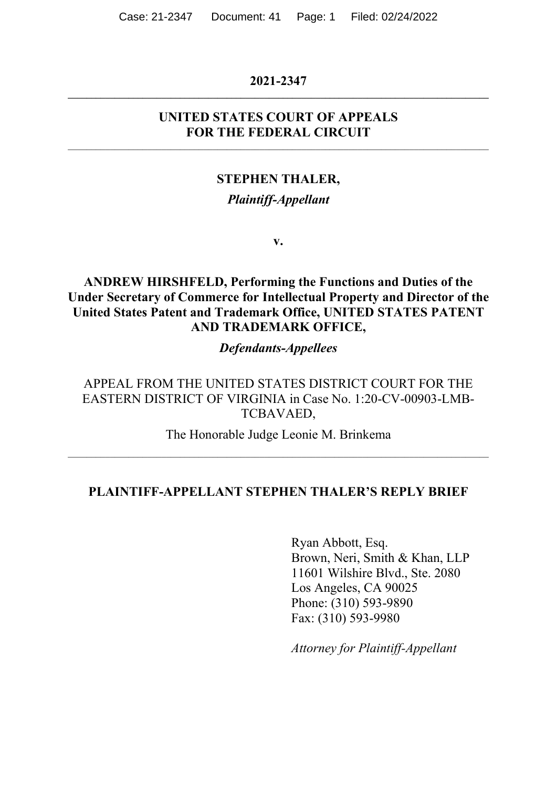#### **2021-2347 \_\_\_\_\_\_\_\_\_\_\_\_\_\_\_\_\_\_\_\_\_\_\_\_\_\_\_\_\_\_\_\_\_\_\_\_\_\_\_\_\_\_\_\_\_\_\_\_\_\_\_\_\_\_\_\_\_\_\_\_\_\_\_\_\_\_\_\_\_\_\_\_\_\_\_\_\_\_\_\_\_\_\_\_\_\_\_\_\_\_**

#### **UNITED STATES COURT OF APPEALS FOR THE FEDERAL CIRCUIT**

\_\_\_\_\_\_\_\_\_\_\_\_\_\_\_\_\_\_\_\_\_\_\_\_\_\_\_\_\_\_\_\_\_\_\_\_\_\_\_\_\_\_\_\_\_\_\_\_\_\_\_\_\_\_\_\_\_\_\_\_\_\_\_\_\_\_\_\_\_\_\_\_\_\_\_\_\_\_\_\_\_\_\_\_\_\_\_\_\_\_

#### **STEPHEN THALER,**

#### *Plaintiff-Appellant*

**v.**

**ANDREW HIRSHFELD, Performing the Functions and Duties of the Under Secretary of Commerce for Intellectual Property and Director of the United States Patent and Trademark Office, UNITED STATES PATENT AND TRADEMARK OFFICE,**

#### *Defendants-Appellees*

APPEAL FROM THE UNITED STATES DISTRICT COURT FOR THE EASTERN DISTRICT OF VIRGINIA in Case No. 1:20-CV-00903-LMB-TCBAVAED,

The Honorable Judge Leonie M. Brinkema \_\_\_\_\_\_\_\_\_\_\_\_\_\_\_\_\_\_\_\_\_\_\_\_\_\_\_\_\_\_\_\_\_\_\_\_\_\_\_\_\_\_\_\_\_\_\_\_\_\_\_\_\_\_\_\_\_\_\_\_\_\_\_\_\_\_\_\_\_\_\_\_\_\_\_\_\_\_\_\_\_\_\_\_\_\_\_\_\_\_

#### **PLAINTIFF-APPELLANT STEPHEN THALER'S REPLY BRIEF**

Ryan Abbott, Esq. Brown, Neri, Smith & Khan, LLP 11601 Wilshire Blvd., Ste. 2080 Los Angeles, CA 90025 Phone: (310) 593-9890 Fax: (310) 593-9980

*Attorney for Plaintiff-Appellant*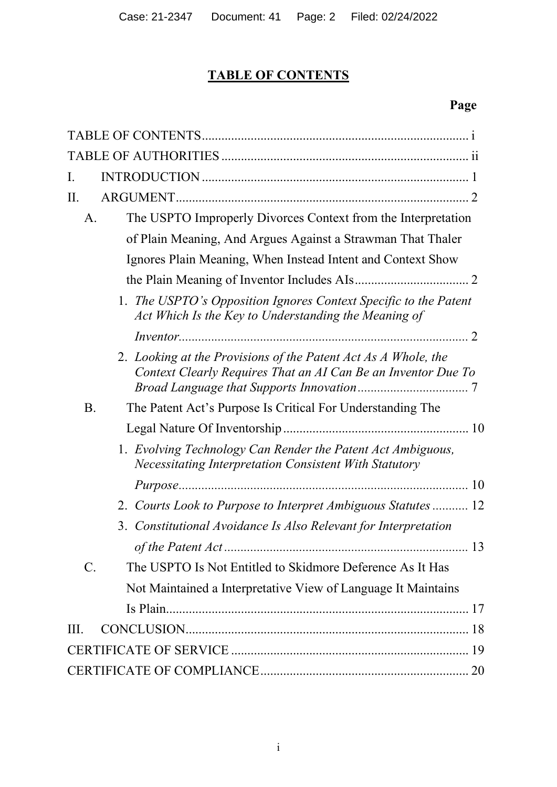# **TABLE OF CONTENTS**

# **Page**

| I.                                                                                                                              |
|---------------------------------------------------------------------------------------------------------------------------------|
| II.                                                                                                                             |
| The USPTO Improperly Divorces Context from the Interpretation<br>A.                                                             |
| of Plain Meaning, And Argues Against a Strawman That Thaler                                                                     |
| Ignores Plain Meaning, When Instead Intent and Context Show                                                                     |
|                                                                                                                                 |
| 1. The USPTO's Opposition Ignores Context Specific to the Patent<br>Act Which Is the Key to Understanding the Meaning of        |
|                                                                                                                                 |
| 2. Looking at the Provisions of the Patent Act As A Whole, the<br>Context Clearly Requires That an AI Can Be an Inventor Due To |
| <b>B.</b><br>The Patent Act's Purpose Is Critical For Understanding The                                                         |
|                                                                                                                                 |
| 1. Evolving Technology Can Render the Patent Act Ambiguous,<br><b>Necessitating Interpretation Consistent With Statutory</b>    |
|                                                                                                                                 |
| 2. Courts Look to Purpose to Interpret Ambiguous Statutes  12                                                                   |
| 3. Constitutional Avoidance Is Also Relevant for Interpretation                                                                 |
|                                                                                                                                 |
| $\mathbf{C}$ .<br>The USPTO Is Not Entitled to Skidmore Deference As It Has                                                     |
| Not Maintained a Interpretative View of Language It Maintains                                                                   |
|                                                                                                                                 |
| HL.                                                                                                                             |
|                                                                                                                                 |
|                                                                                                                                 |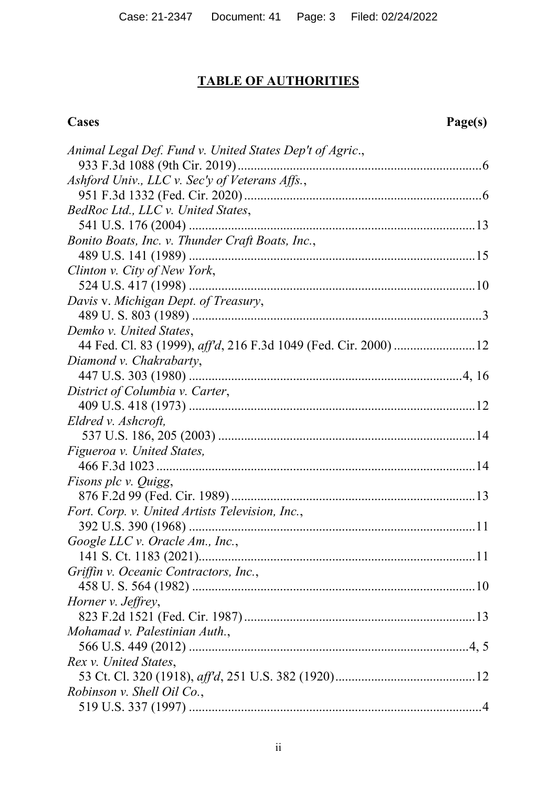# **TABLE OF AUTHORITIES**

# **Cases Page(s)**

| Animal Legal Def. Fund v. United States Dep't of Agric., |
|----------------------------------------------------------|
|                                                          |
| Ashford Univ., LLC v. Sec'y of Veterans Affs.,           |
|                                                          |
| BedRoc Ltd., LLC v. United States,                       |
|                                                          |
| Bonito Boats, Inc. v. Thunder Craft Boats, Inc.,         |
|                                                          |
| Clinton v. City of New York,                             |
|                                                          |
| Davis v. Michigan Dept. of Treasury,                     |
|                                                          |
| Demko v. United States,                                  |
|                                                          |
| Diamond v. Chakrabarty,                                  |
|                                                          |
| District of Columbia v. Carter,                          |
|                                                          |
| Eldred v. Ashcroft,                                      |
|                                                          |
| Figueroa v. United States,                               |
|                                                          |
| <i>Fisons plc v. Quigg,</i>                              |
|                                                          |
| Fort. Corp. v. United Artists Television, Inc.,          |
|                                                          |
| Google LLC v. Oracle Am., Inc.,                          |
|                                                          |
| Griffin v. Oceanic Contractors, Inc.,                    |
|                                                          |
| Horner v. Jeffrey,                                       |
|                                                          |
| Mohamad v. Palestinian Auth.,                            |
|                                                          |
| Rex v. United States,                                    |
|                                                          |
| Robinson v. Shell Oil Co.,                               |
|                                                          |
|                                                          |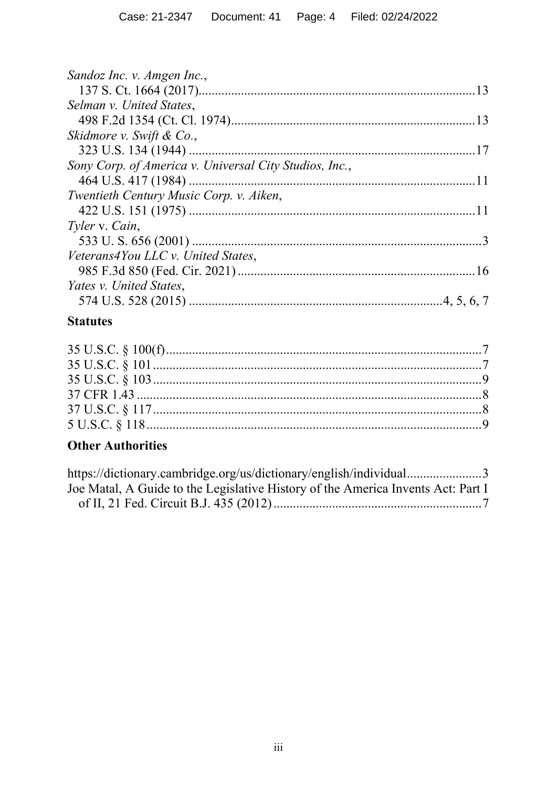| Sandoz Inc. v. Amgen Inc.,                             |  |
|--------------------------------------------------------|--|
|                                                        |  |
| Selman v. United States,                               |  |
|                                                        |  |
| Skidmore v. Swift & Co.,                               |  |
|                                                        |  |
| Sony Corp. of America v. Universal City Studios, Inc., |  |
|                                                        |  |
| Twentieth Century Music Corp. v. Aiken,                |  |
|                                                        |  |
| Tyler v. Cain,                                         |  |
|                                                        |  |
| Veterans4You LLC v. United States,                     |  |
|                                                        |  |
| Yates v. United States,                                |  |
|                                                        |  |
|                                                        |  |

# **Statutes**

# **Other Authorities**

| https://dictionary.cambridge.org/us/dictionary/english/individual3               |  |
|----------------------------------------------------------------------------------|--|
| Joe Matal, A Guide to the Legislative History of the America Invents Act: Part I |  |
|                                                                                  |  |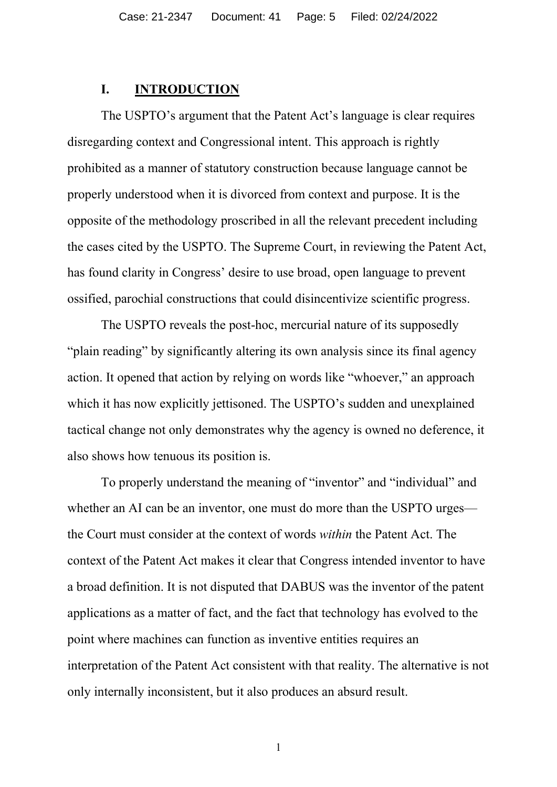#### **I. INTRODUCTION**

The USPTO's argument that the Patent Act's language is clear requires disregarding context and Congressional intent. This approach is rightly prohibited as a manner of statutory construction because language cannot be properly understood when it is divorced from context and purpose. It is the opposite of the methodology proscribed in all the relevant precedent including the cases cited by the USPTO. The Supreme Court, in reviewing the Patent Act, has found clarity in Congress' desire to use broad, open language to prevent ossified, parochial constructions that could disincentivize scientific progress.

The USPTO reveals the post-hoc, mercurial nature of its supposedly "plain reading" by significantly altering its own analysis since its final agency action. It opened that action by relying on words like "whoever," an approach which it has now explicitly jettisoned. The USPTO's sudden and unexplained tactical change not only demonstrates why the agency is owned no deference, it also shows how tenuous its position is.

To properly understand the meaning of "inventor" and "individual" and whether an AI can be an inventor, one must do more than the USPTO urges the Court must consider at the context of words *within* the Patent Act. The context of the Patent Act makes it clear that Congress intended inventor to have a broad definition. It is not disputed that DABUS was the inventor of the patent applications as a matter of fact, and the fact that technology has evolved to the point where machines can function as inventive entities requires an interpretation of the Patent Act consistent with that reality. The alternative is not only internally inconsistent, but it also produces an absurd result.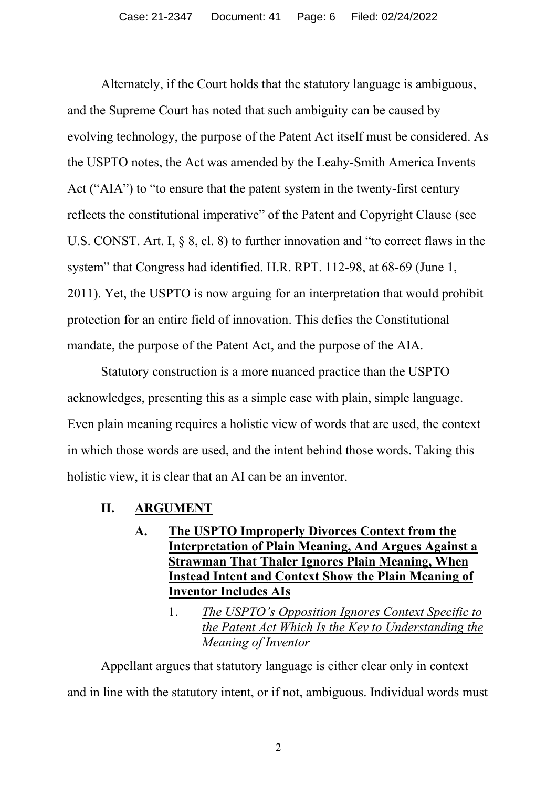Alternately, if the Court holds that the statutory language is ambiguous, and the Supreme Court has noted that such ambiguity can be caused by evolving technology, the purpose of the Patent Act itself must be considered. As the USPTO notes, the Act was amended by the Leahy-Smith America Invents Act ("AIA") to "to ensure that the patent system in the twenty-first century reflects the constitutional imperative" of the Patent and Copyright Clause (see U.S. CONST. Art. I, § 8, cl. 8) to further innovation and "to correct flaws in the system" that Congress had identified. H.R. RPT. 112-98, at 68-69 (June 1, 2011). Yet, the USPTO is now arguing for an interpretation that would prohibit protection for an entire field of innovation. This defies the Constitutional mandate, the purpose of the Patent Act, and the purpose of the AIA.

Statutory construction is a more nuanced practice than the USPTO acknowledges, presenting this as a simple case with plain, simple language. Even plain meaning requires a holistic view of words that are used, the context in which those words are used, and the intent behind those words. Taking this holistic view, it is clear that an AI can be an inventor.

- **II. ARGUMENT**
	- **A. The USPTO Improperly Divorces Context from the Interpretation of Plain Meaning, And Argues Against a Strawman That Thaler Ignores Plain Meaning, When Instead Intent and Context Show the Plain Meaning of Inventor Includes AIs**
		- 1. *The USPTO's Opposition Ignores Context Specific to the Patent Act Which Is the Key to Understanding the Meaning of Inventor*

Appellant argues that statutory language is either clear only in context and in line with the statutory intent, or if not, ambiguous. Individual words must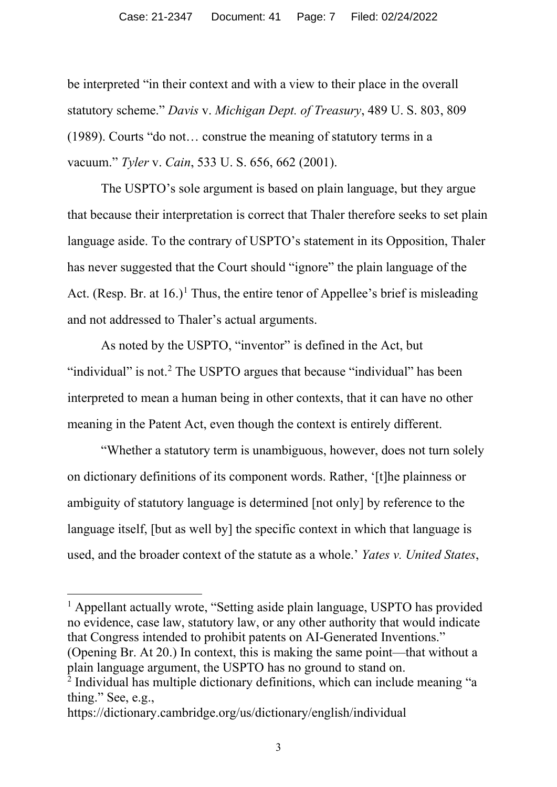be interpreted "in their context and with a view to their place in the overall statutory scheme." *Davis* v. *Michigan Dept. of Treasury*, 489 U. S. 803, 809 (1989). Courts "do not… construe the meaning of statutory terms in a vacuum." *Tyler* v. *Cain*, 533 U. S. 656, 662 (2001).

The USPTO's sole argument is based on plain language, but they argue that because their interpretation is correct that Thaler therefore seeks to set plain language aside. To the contrary of USPTO's statement in its Opposition, Thaler has never suggested that the Court should "ignore" the plain language of the Act. (Resp. Br. at  $16.$ )<sup>1</sup> Thus, the entire tenor of Appellee's brief is misleading and not addressed to Thaler's actual arguments.

As noted by the USPTO, "inventor" is defined in the Act, but "individual" is not.<sup>2</sup> The USPTO argues that because "individual" has been interpreted to mean a human being in other contexts, that it can have no other meaning in the Patent Act, even though the context is entirely different.

"Whether a statutory term is unambiguous, however, does not turn solely on dictionary definitions of its component words. Rather, '[t]he plainness or ambiguity of statutory language is determined [not only] by reference to the language itself, [but as well by] the specific context in which that language is used, and the broader context of the statute as a whole.' *Yates v. United States*,

<sup>1</sup> Appellant actually wrote, "Setting aside plain language, USPTO has provided no evidence, case law, statutory law, or any other authority that would indicate that Congress intended to prohibit patents on AI-Generated Inventions." (Opening Br. At 20.) In context, this is making the same point—that without a plain language argument, the USPTO has no ground to stand on.

<sup>&</sup>lt;sup>2</sup> Individual has multiple dictionary definitions, which can include meaning "a thing." See, e.g.,

https://dictionary.cambridge.org/us/dictionary/english/individual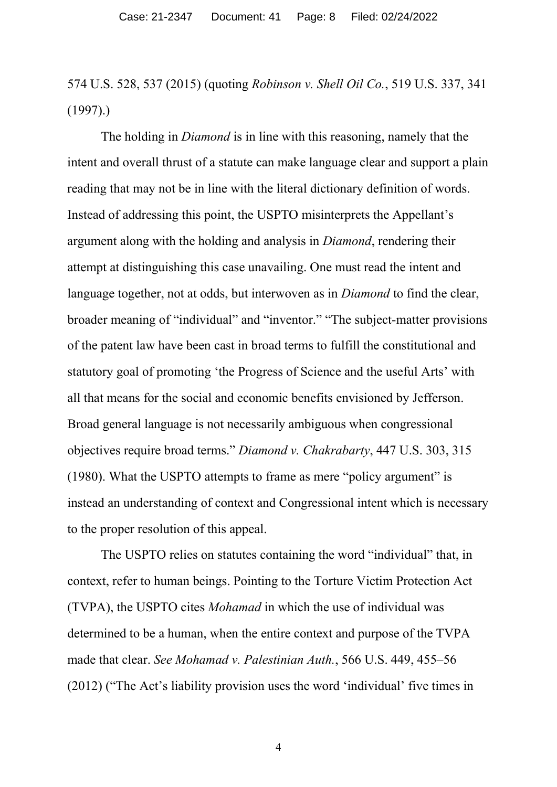574 U.S. 528, 537 (2015) (quoting *Robinson v. Shell Oil Co.*, 519 U.S. 337, 341 (1997).)

The holding in *Diamond* is in line with this reasoning, namely that the intent and overall thrust of a statute can make language clear and support a plain reading that may not be in line with the literal dictionary definition of words. Instead of addressing this point, the USPTO misinterprets the Appellant's argument along with the holding and analysis in *Diamond*, rendering their attempt at distinguishing this case unavailing. One must read the intent and language together, not at odds, but interwoven as in *Diamond* to find the clear, broader meaning of "individual" and "inventor." "The subject-matter provisions of the patent law have been cast in broad terms to fulfill the constitutional and statutory goal of promoting 'the Progress of Science and the useful Arts' with all that means for the social and economic benefits envisioned by Jefferson. Broad general language is not necessarily ambiguous when congressional objectives require broad terms." *Diamond v. Chakrabarty*, 447 U.S. 303, 315 (1980). What the USPTO attempts to frame as mere "policy argument" is instead an understanding of context and Congressional intent which is necessary to the proper resolution of this appeal.

The USPTO relies on statutes containing the word "individual" that, in context, refer to human beings. Pointing to the Torture Victim Protection Act (TVPA), the USPTO cites *Mohamad* in which the use of individual was determined to be a human, when the entire context and purpose of the TVPA made that clear. *See Mohamad v. Palestinian Auth.*, 566 U.S. 449, 455–56 (2012) ("The Act's liability provision uses the word 'individual' five times in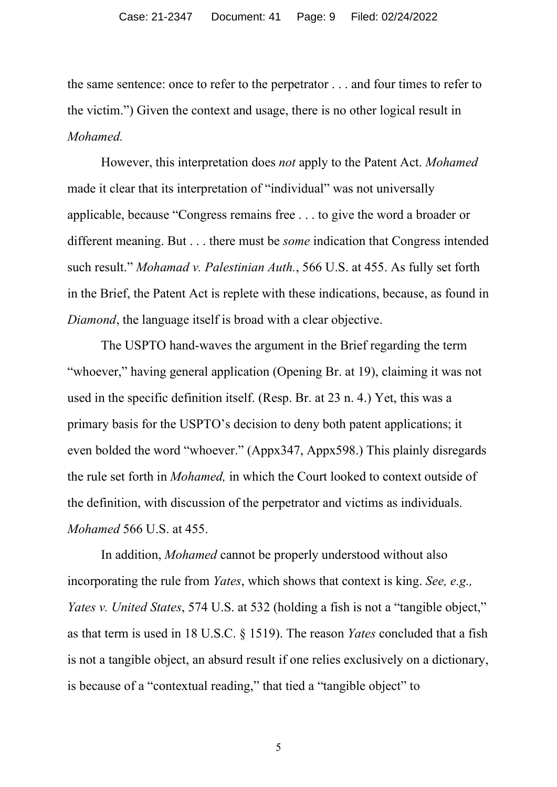the same sentence: once to refer to the perpetrator . . . and four times to refer to the victim.") Given the context and usage, there is no other logical result in *Mohamed.* 

However, this interpretation does *not* apply to the Patent Act. *Mohamed* made it clear that its interpretation of "individual" was not universally applicable, because "Congress remains free . . . to give the word a broader or different meaning. But . . . there must be *some* indication that Congress intended such result." *Mohamad v. Palestinian Auth.*, 566 U.S. at 455. As fully set forth in the Brief, the Patent Act is replete with these indications, because, as found in *Diamond*, the language itself is broad with a clear objective.

The USPTO hand-waves the argument in the Brief regarding the term "whoever," having general application (Opening Br. at 19), claiming it was not used in the specific definition itself. (Resp. Br. at 23 n. 4.) Yet, this was a primary basis for the USPTO's decision to deny both patent applications; it even bolded the word "whoever." (Appx347, Appx598.) This plainly disregards the rule set forth in *Mohamed,* in which the Court looked to context outside of the definition, with discussion of the perpetrator and victims as individuals. *Mohamed* 566 U.S. at 455.

In addition, *Mohamed* cannot be properly understood without also incorporating the rule from *Yates*, which shows that context is king. *See, e.g., Yates v. United States*, 574 U.S. at 532 (holding a fish is not a "tangible object," as that term is used in 18 U.S.C. § 1519). The reason *Yates* concluded that a fish is not a tangible object, an absurd result if one relies exclusively on a dictionary, is because of a "contextual reading," that tied a "tangible object" to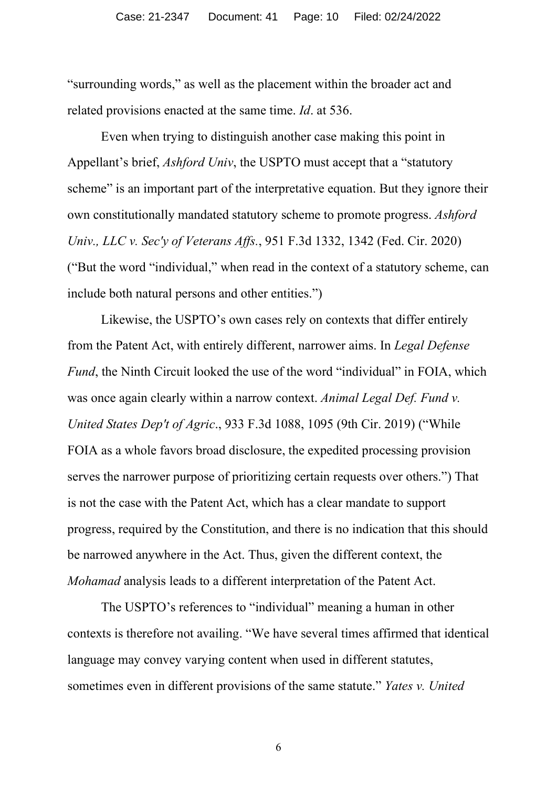"surrounding words," as well as the placement within the broader act and related provisions enacted at the same time. *Id*. at 536.

Even when trying to distinguish another case making this point in Appellant's brief, *Ashford Univ*, the USPTO must accept that a "statutory scheme" is an important part of the interpretative equation. But they ignore their own constitutionally mandated statutory scheme to promote progress. *Ashford Univ., LLC v. Sec'y of Veterans Affs.*, 951 F.3d 1332, 1342 (Fed. Cir. 2020) ("But the word "individual," when read in the context of a statutory scheme, can include both natural persons and other entities.")

Likewise, the USPTO's own cases rely on contexts that differ entirely from the Patent Act, with entirely different, narrower aims. In *Legal Defense Fund*, the Ninth Circuit looked the use of the word "individual" in FOIA, which was once again clearly within a narrow context. *Animal Legal Def. Fund v. United States Dep't of Agric*., 933 F.3d 1088, 1095 (9th Cir. 2019) ("While FOIA as a whole favors broad disclosure, the expedited processing provision serves the narrower purpose of prioritizing certain requests over others.") That is not the case with the Patent Act, which has a clear mandate to support progress, required by the Constitution, and there is no indication that this should be narrowed anywhere in the Act. Thus, given the different context, the *Mohamad* analysis leads to a different interpretation of the Patent Act.

The USPTO's references to "individual" meaning a human in other contexts is therefore not availing. "We have several times affirmed that identical language may convey varying content when used in different statutes, sometimes even in different provisions of the same statute." *Yates v. United*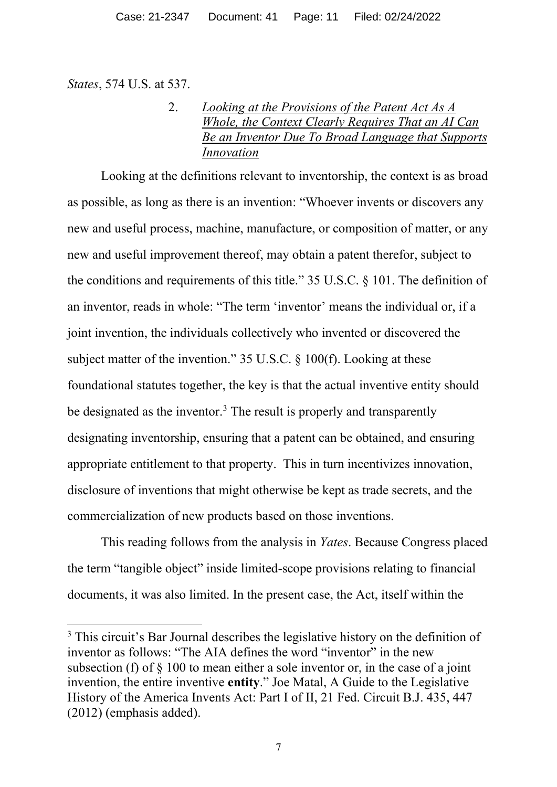*States*, 574 U.S. at 537.

# 2. *Looking at the Provisions of the Patent Act As A Whole, the Context Clearly Requires That an AI Can Be an Inventor Due To Broad Language that Supports Innovation*

Looking at the definitions relevant to inventorship, the context is as broad as possible, as long as there is an invention: "Whoever invents or discovers any new and useful process, machine, manufacture, or composition of matter, or any new and useful improvement thereof, may obtain a patent therefor, subject to the conditions and requirements of this title." 35 U.S.C. § 101. The definition of an inventor, reads in whole: "The term 'inventor' means the individual or, if a joint invention, the individuals collectively who invented or discovered the subject matter of the invention." 35 U.S.C. § 100(f). Looking at these foundational statutes together, the key is that the actual inventive entity should be designated as the inventor.<sup>3</sup> The result is properly and transparently designating inventorship, ensuring that a patent can be obtained, and ensuring appropriate entitlement to that property. This in turn incentivizes innovation, disclosure of inventions that might otherwise be kept as trade secrets, and the commercialization of new products based on those inventions.

This reading follows from the analysis in *Yates*. Because Congress placed the term "tangible object" inside limited-scope provisions relating to financial documents, it was also limited. In the present case, the Act, itself within the

<sup>&</sup>lt;sup>3</sup> This circuit's Bar Journal describes the legislative history on the definition of inventor as follows: "The AIA defines the word "inventor" in the new subsection (f) of § 100 to mean either a sole inventor or, in the case of a joint invention, the entire inventive **entity**." Joe Matal, A Guide to the Legislative History of the America Invents Act: Part I of II, 21 Fed. Circuit B.J. 435, 447 (2012) (emphasis added).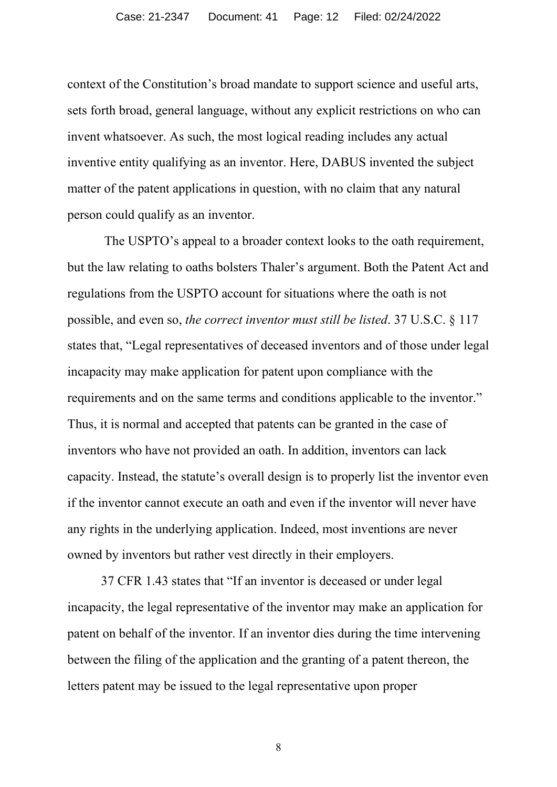context of the Constitution's broad mandate to support science and useful arts, sets forth broad, general language, without any explicit restrictions on who can invent whatsoever. As such, the most logical reading includes any actual inventive entity qualifying as an inventor. Here, DABUS invented the subject matter of the patent applications in question, with no claim that any natural person could qualify as an inventor.

The USPTO's appeal to a broader context looks to the oath requirement, but the law relating to oaths bolsters Thaler's argument. Both the Patent Act and regulations from the USPTO account for situations where the oath is not possible, and even so, *the correct inventor must still be listed*. 37 U.S.C. § 117 states that, "Legal representatives of deceased inventors and of those under legal incapacity may make application for patent upon compliance with the requirements and on the same terms and conditions applicable to the inventor." Thus, it is normal and accepted that patents can be granted in the case of inventors who have not provided an oath. In addition, inventors can lack capacity. Instead, the statute's overall design is to properly list the inventor even if the inventor cannot execute an oath and even if the inventor will never have any rights in the underlying application. Indeed, most inventions are never owned by inventors but rather vest directly in their employers.

37 CFR 1.43 states that "If an inventor is deceased or under legal incapacity, the legal representative of the inventor may make an application for patent on behalf of the inventor. If an inventor dies during the time intervening between the filing of the application and the granting of a patent thereon, the letters patent may be issued to the legal representative upon proper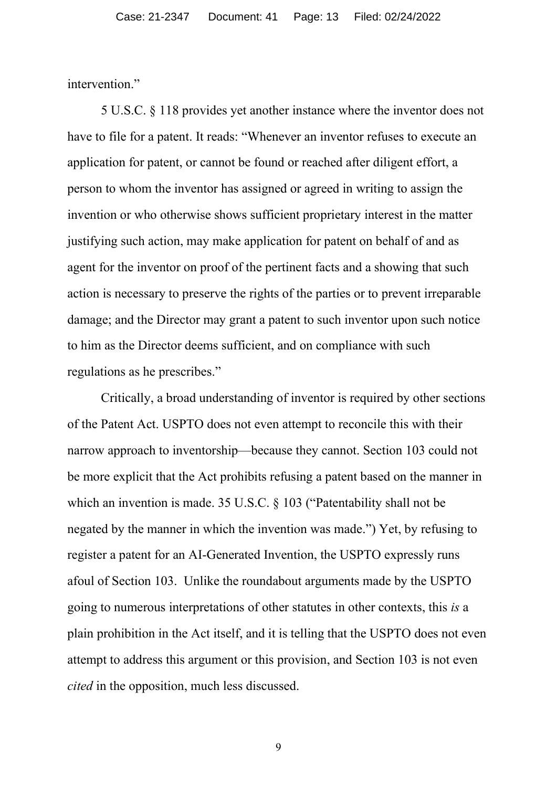intervention."

5 U.S.C. § 118 provides yet another instance where the inventor does not have to file for a patent. It reads: "Whenever an inventor refuses to execute an application for patent, or cannot be found or reached after diligent effort, a person to whom the inventor has assigned or agreed in writing to assign the invention or who otherwise shows sufficient proprietary interest in the matter justifying such action, may make application for patent on behalf of and as agent for the inventor on proof of the pertinent facts and a showing that such action is necessary to preserve the rights of the parties or to prevent irreparable damage; and the Director may grant a patent to such inventor upon such notice to him as the Director deems sufficient, and on compliance with such regulations as he prescribes."

Critically, a broad understanding of inventor is required by other sections of the Patent Act. USPTO does not even attempt to reconcile this with their narrow approach to inventorship—because they cannot. Section 103 could not be more explicit that the Act prohibits refusing a patent based on the manner in which an invention is made. 35 U.S.C. § 103 ("Patentability shall not be negated by the manner in which the invention was made.") Yet, by refusing to register a patent for an AI-Generated Invention, the USPTO expressly runs afoul of Section 103. Unlike the roundabout arguments made by the USPTO going to numerous interpretations of other statutes in other contexts, this *is* a plain prohibition in the Act itself, and it is telling that the USPTO does not even attempt to address this argument or this provision, and Section 103 is not even *cited* in the opposition, much less discussed.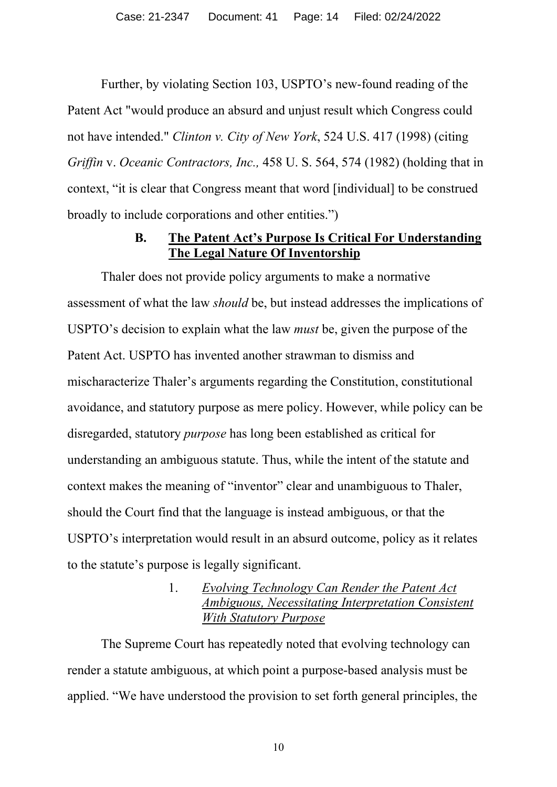Further, by violating Section 103, USPTO's new-found reading of the Patent Act "would produce an absurd and unjust result which Congress could not have intended." *Clinton v. City of New York*, 524 U.S. 417 (1998) (citing *Griffin* v. *Oceanic Contractors, Inc.,* 458 U. S. 564, 574 (1982) (holding that in context, "it is clear that Congress meant that word [individual] to be construed broadly to include corporations and other entities.")

## **B. The Patent Act's Purpose Is Critical For Understanding The Legal Nature Of Inventorship**

Thaler does not provide policy arguments to make a normative assessment of what the law *should* be, but instead addresses the implications of USPTO's decision to explain what the law *must* be, given the purpose of the Patent Act. USPTO has invented another strawman to dismiss and mischaracterize Thaler's arguments regarding the Constitution, constitutional avoidance, and statutory purpose as mere policy. However, while policy can be disregarded, statutory *purpose* has long been established as critical for understanding an ambiguous statute. Thus, while the intent of the statute and context makes the meaning of "inventor" clear and unambiguous to Thaler, should the Court find that the language is instead ambiguous, or that the USPTO's interpretation would result in an absurd outcome, policy as it relates to the statute's purpose is legally significant.

# 1. *Evolving Technology Can Render the Patent Act Ambiguous, Necessitating Interpretation Consistent With Statutory Purpose*

The Supreme Court has repeatedly noted that evolving technology can render a statute ambiguous, at which point a purpose-based analysis must be applied. "We have understood the provision to set forth general principles, the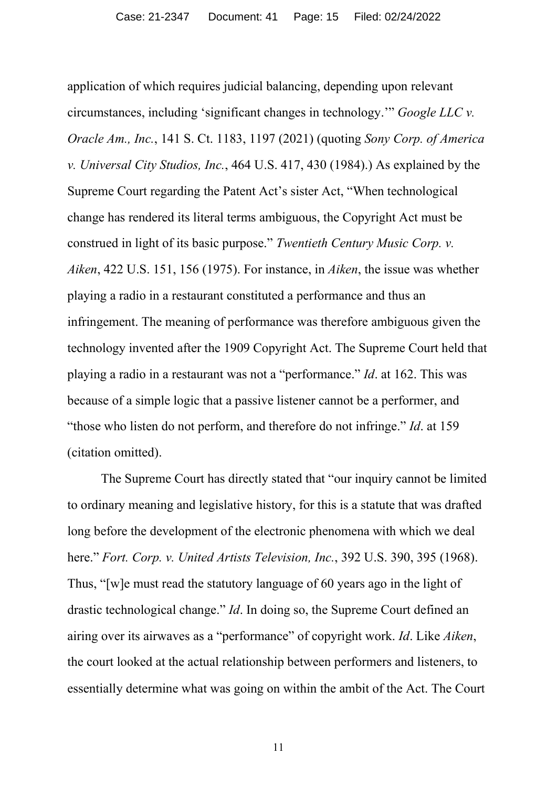application of which requires judicial balancing, depending upon relevant circumstances, including 'significant changes in technology.'" *Google LLC v. Oracle Am., Inc.*, 141 S. Ct. 1183, 1197 (2021) (quoting *Sony Corp. of America v. Universal City Studios, Inc.*, 464 U.S. 417, 430 (1984).) As explained by the Supreme Court regarding the Patent Act's sister Act, "When technological change has rendered its literal terms ambiguous, the Copyright Act must be construed in light of its basic purpose." *Twentieth Century Music Corp. v. Aiken*, 422 U.S. 151, 156 (1975). For instance, in *Aiken*, the issue was whether playing a radio in a restaurant constituted a performance and thus an infringement. The meaning of performance was therefore ambiguous given the technology invented after the 1909 Copyright Act. The Supreme Court held that playing a radio in a restaurant was not a "performance." *Id*. at 162. This was because of a simple logic that a passive listener cannot be a performer, and "those who listen do not perform, and therefore do not infringe." *Id*. at 159 (citation omitted).

The Supreme Court has directly stated that "our inquiry cannot be limited to ordinary meaning and legislative history, for this is a statute that was drafted long before the development of the electronic phenomena with which we deal here." *Fort. Corp. v. United Artists Television, Inc.*, 392 U.S. 390, 395 (1968). Thus, "[w]e must read the statutory language of 60 years ago in the light of drastic technological change." *Id*. In doing so, the Supreme Court defined an airing over its airwaves as a "performance" of copyright work. *Id*. Like *Aiken*, the court looked at the actual relationship between performers and listeners, to essentially determine what was going on within the ambit of the Act. The Court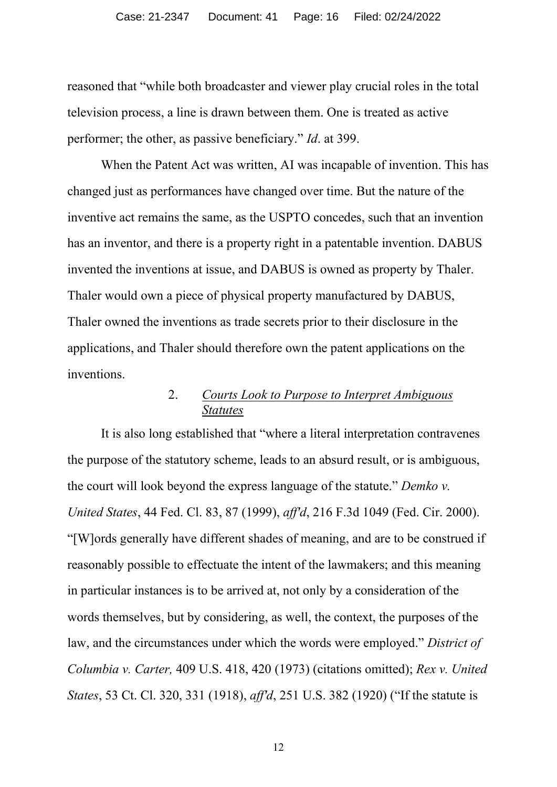reasoned that "while both broadcaster and viewer play crucial roles in the total television process, a line is drawn between them. One is treated as active performer; the other, as passive beneficiary." *Id*. at 399.

When the Patent Act was written, AI was incapable of invention. This has changed just as performances have changed over time. But the nature of the inventive act remains the same, as the USPTO concedes, such that an invention has an inventor, and there is a property right in a patentable invention. DABUS invented the inventions at issue, and DABUS is owned as property by Thaler. Thaler would own a piece of physical property manufactured by DABUS, Thaler owned the inventions as trade secrets prior to their disclosure in the applications, and Thaler should therefore own the patent applications on the inventions.

### 2. *Courts Look to Purpose to Interpret Ambiguous Statutes*

It is also long established that "where a literal interpretation contravenes the purpose of the statutory scheme, leads to an absurd result, or is ambiguous, the court will look beyond the express language of the statute." *Demko v. United States*, 44 Fed. Cl. 83, 87 (1999), *aff'd*, 216 F.3d 1049 (Fed. Cir. 2000). "[W]ords generally have different shades of meaning, and are to be construed if reasonably possible to effectuate the intent of the lawmakers; and this meaning in particular instances is to be arrived at, not only by a consideration of the words themselves, but by considering, as well, the context, the purposes of the law, and the circumstances under which the words were employed." *District of Columbia v. Carter,* 409 U.S. 418, 420 (1973) (citations omitted); *Rex v. United States*, 53 Ct. Cl. 320, 331 (1918), *aff'd*, 251 U.S. 382 (1920) ("If the statute is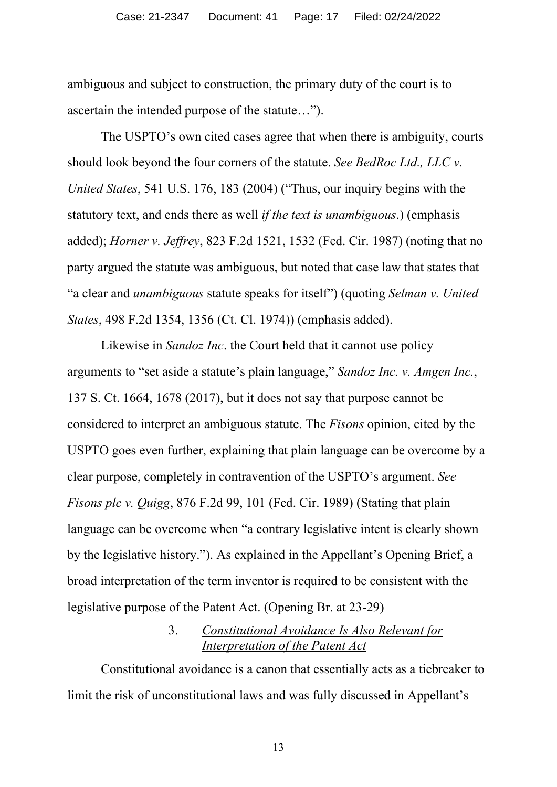ambiguous and subject to construction, the primary duty of the court is to ascertain the intended purpose of the statute…").

The USPTO's own cited cases agree that when there is ambiguity, courts should look beyond the four corners of the statute. *See BedRoc Ltd., LLC v. United States*, 541 U.S. 176, 183 (2004) ("Thus, our inquiry begins with the statutory text, and ends there as well *if the text is unambiguous*.) (emphasis added); *Horner v. Jeffrey*, 823 F.2d 1521, 1532 (Fed. Cir. 1987) (noting that no party argued the statute was ambiguous, but noted that case law that states that "a clear and *unambiguous* statute speaks for itself") (quoting *Selman v. United States*, 498 F.2d 1354, 1356 (Ct. Cl. 1974)) (emphasis added).

Likewise in *Sandoz Inc*. the Court held that it cannot use policy arguments to "set aside a statute's plain language," *Sandoz Inc. v. Amgen Inc.*, 137 S. Ct. 1664, 1678 (2017), but it does not say that purpose cannot be considered to interpret an ambiguous statute. The *Fisons* opinion, cited by the USPTO goes even further, explaining that plain language can be overcome by a clear purpose, completely in contravention of the USPTO's argument. *See Fisons plc v. Quigg*, 876 F.2d 99, 101 (Fed. Cir. 1989) (Stating that plain language can be overcome when "a contrary legislative intent is clearly shown by the legislative history."). As explained in the Appellant's Opening Brief, a broad interpretation of the term inventor is required to be consistent with the legislative purpose of the Patent Act. (Opening Br. at 23-29)

# 3. *Constitutional Avoidance Is Also Relevant for Interpretation of the Patent Act*

Constitutional avoidance is a canon that essentially acts as a tiebreaker to limit the risk of unconstitutional laws and was fully discussed in Appellant's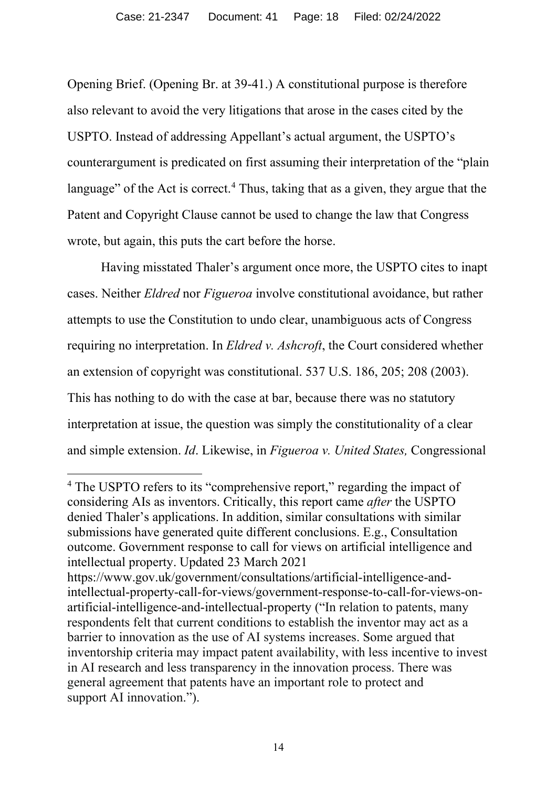Opening Brief. (Opening Br. at 39-41.) A constitutional purpose is therefore also relevant to avoid the very litigations that arose in the cases cited by the USPTO. Instead of addressing Appellant's actual argument, the USPTO's counterargument is predicated on first assuming their interpretation of the "plain language" of the Act is correct.<sup>4</sup> Thus, taking that as a given, they argue that the Patent and Copyright Clause cannot be used to change the law that Congress wrote, but again, this puts the cart before the horse.

Having misstated Thaler's argument once more, the USPTO cites to inapt cases. Neither *Eldred* nor *Figueroa* involve constitutional avoidance, but rather attempts to use the Constitution to undo clear, unambiguous acts of Congress requiring no interpretation. In *Eldred v. Ashcroft*, the Court considered whether an extension of copyright was constitutional. 537 U.S. 186, 205; 208 (2003). This has nothing to do with the case at bar, because there was no statutory interpretation at issue, the question was simply the constitutionality of a clear and simple extension. *Id*. Likewise, in *Figueroa v. United States,* Congressional

<sup>&</sup>lt;sup>4</sup> The USPTO refers to its "comprehensive report," regarding the impact of considering AIs as inventors. Critically, this report came *after* the USPTO denied Thaler's applications. In addition, similar consultations with similar submissions have generated quite different conclusions. E.g., Consultation outcome. Government response to call for views on artificial intelligence and intellectual property. Updated 23 March 2021

https://www.gov.uk/government/consultations/artificial-intelligence-andintellectual-property-call-for-views/government-response-to-call-for-views-onartificial-intelligence-and-intellectual-property ("In relation to patents, many respondents felt that current conditions to establish the inventor may act as a barrier to innovation as the use of AI systems increases. Some argued that inventorship criteria may impact patent availability, with less incentive to invest in AI research and less transparency in the innovation process. There was general agreement that patents have an important role to protect and support AI innovation.").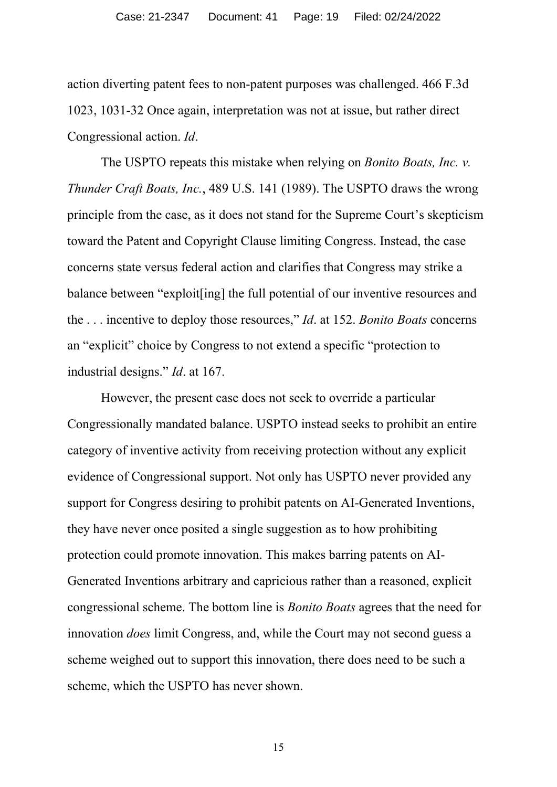action diverting patent fees to non-patent purposes was challenged. 466 F.3d 1023, 1031-32 Once again, interpretation was not at issue, but rather direct Congressional action. *Id*.

The USPTO repeats this mistake when relying on *Bonito Boats, Inc. v. Thunder Craft Boats, Inc.*, 489 U.S. 141 (1989). The USPTO draws the wrong principle from the case, as it does not stand for the Supreme Court's skepticism toward the Patent and Copyright Clause limiting Congress. Instead, the case concerns state versus federal action and clarifies that Congress may strike a balance between "exploit[ing] the full potential of our inventive resources and the . . . incentive to deploy those resources," *Id*. at 152. *Bonito Boats* concerns an "explicit" choice by Congress to not extend a specific "protection to industrial designs." *Id*. at 167.

However, the present case does not seek to override a particular Congressionally mandated balance. USPTO instead seeks to prohibit an entire category of inventive activity from receiving protection without any explicit evidence of Congressional support. Not only has USPTO never provided any support for Congress desiring to prohibit patents on AI-Generated Inventions, they have never once posited a single suggestion as to how prohibiting protection could promote innovation. This makes barring patents on AI-Generated Inventions arbitrary and capricious rather than a reasoned, explicit congressional scheme. The bottom line is *Bonito Boats* agrees that the need for innovation *does* limit Congress, and, while the Court may not second guess a scheme weighed out to support this innovation, there does need to be such a scheme, which the USPTO has never shown.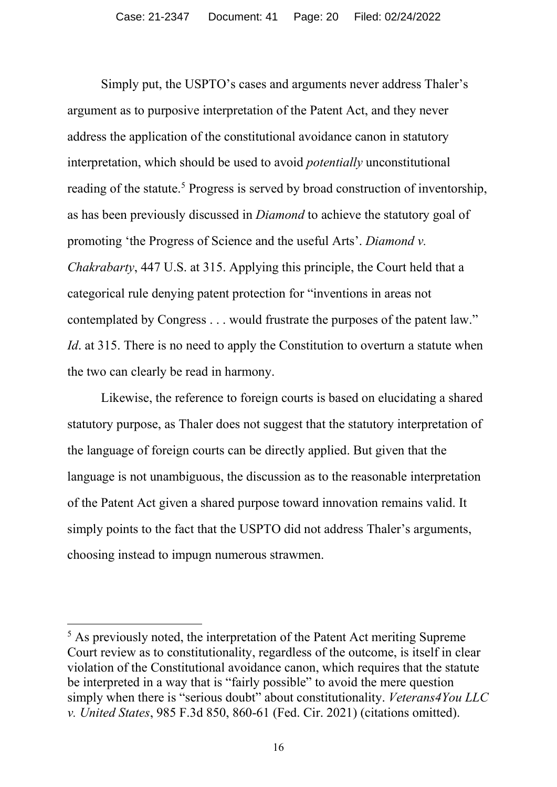Simply put, the USPTO's cases and arguments never address Thaler's argument as to purposive interpretation of the Patent Act, and they never address the application of the constitutional avoidance canon in statutory interpretation, which should be used to avoid *potentially* unconstitutional reading of the statute.<sup>5</sup> Progress is served by broad construction of inventorship, as has been previously discussed in *Diamond* to achieve the statutory goal of promoting 'the Progress of Science and the useful Arts'. *Diamond v. Chakrabarty*, 447 U.S. at 315. Applying this principle, the Court held that a categorical rule denying patent protection for "inventions in areas not contemplated by Congress . . . would frustrate the purposes of the patent law." *Id*. at 315. There is no need to apply the Constitution to overturn a statute when the two can clearly be read in harmony.

Likewise, the reference to foreign courts is based on elucidating a shared statutory purpose, as Thaler does not suggest that the statutory interpretation of the language of foreign courts can be directly applied. But given that the language is not unambiguous, the discussion as to the reasonable interpretation of the Patent Act given a shared purpose toward innovation remains valid. It simply points to the fact that the USPTO did not address Thaler's arguments, choosing instead to impugn numerous strawmen.

<sup>&</sup>lt;sup>5</sup> As previously noted, the interpretation of the Patent Act meriting Supreme Court review as to constitutionality, regardless of the outcome, is itself in clear violation of the Constitutional avoidance canon, which requires that the statute be interpreted in a way that is "fairly possible" to avoid the mere question simply when there is "serious doubt" about constitutionality. *Veterans4You LLC v. United States*, 985 F.3d 850, 860-61 (Fed. Cir. 2021) (citations omitted).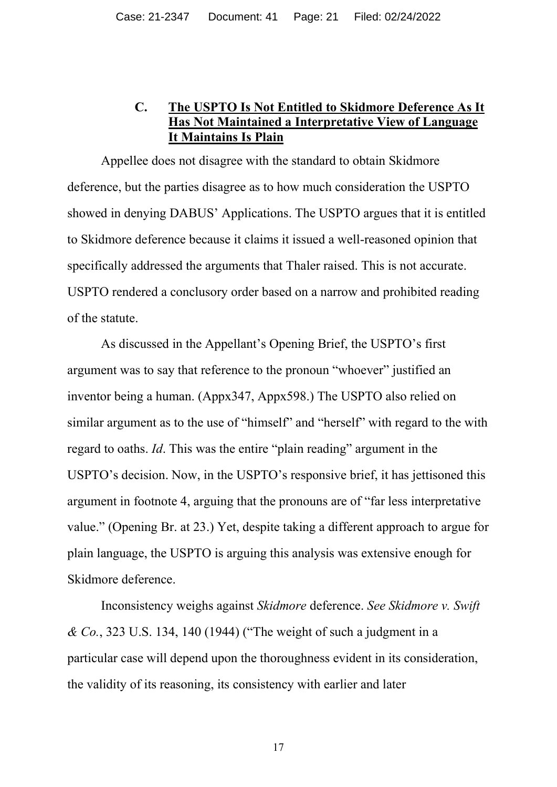# **C. The USPTO Is Not Entitled to Skidmore Deference As It Has Not Maintained a Interpretative View of Language It Maintains Is Plain**

Appellee does not disagree with the standard to obtain Skidmore deference, but the parties disagree as to how much consideration the USPTO showed in denying DABUS' Applications. The USPTO argues that it is entitled to Skidmore deference because it claims it issued a well-reasoned opinion that specifically addressed the arguments that Thaler raised. This is not accurate. USPTO rendered a conclusory order based on a narrow and prohibited reading of the statute.

As discussed in the Appellant's Opening Brief, the USPTO's first argument was to say that reference to the pronoun "whoever" justified an inventor being a human. (Appx347, Appx598.) The USPTO also relied on similar argument as to the use of "himself" and "herself" with regard to the with regard to oaths. *Id*. This was the entire "plain reading" argument in the USPTO's decision. Now, in the USPTO's responsive brief, it has jettisoned this argument in footnote 4, arguing that the pronouns are of "far less interpretative value." (Opening Br. at 23.) Yet, despite taking a different approach to argue for plain language, the USPTO is arguing this analysis was extensive enough for Skidmore deference.

Inconsistency weighs against *Skidmore* deference. *See Skidmore v. Swift & Co.*, 323 U.S. 134, 140 (1944) ("The weight of such a judgment in a particular case will depend upon the thoroughness evident in its consideration, the validity of its reasoning, its consistency with earlier and later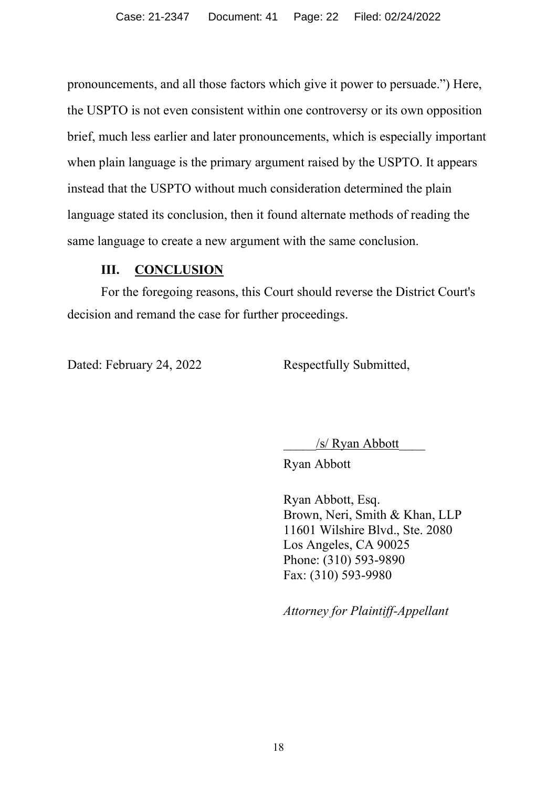pronouncements, and all those factors which give it power to persuade.") Here, the USPTO is not even consistent within one controversy or its own opposition brief, much less earlier and later pronouncements, which is especially important when plain language is the primary argument raised by the USPTO. It appears instead that the USPTO without much consideration determined the plain language stated its conclusion, then it found alternate methods of reading the same language to create a new argument with the same conclusion.

## **III. CONCLUSION**

For the foregoing reasons, this Court should reverse the District Court's decision and remand the case for further proceedings.

Dated: February 24, 2022 Respectfully Submitted,

/s/ Ryan Abbott

Ryan Abbott

Ryan Abbott, Esq. Brown, Neri, Smith & Khan, LLP 11601 Wilshire Blvd., Ste. 2080 Los Angeles, CA 90025 Phone: (310) 593-9890 Fax: (310) 593-9980

*Attorney for Plaintiff-Appellant*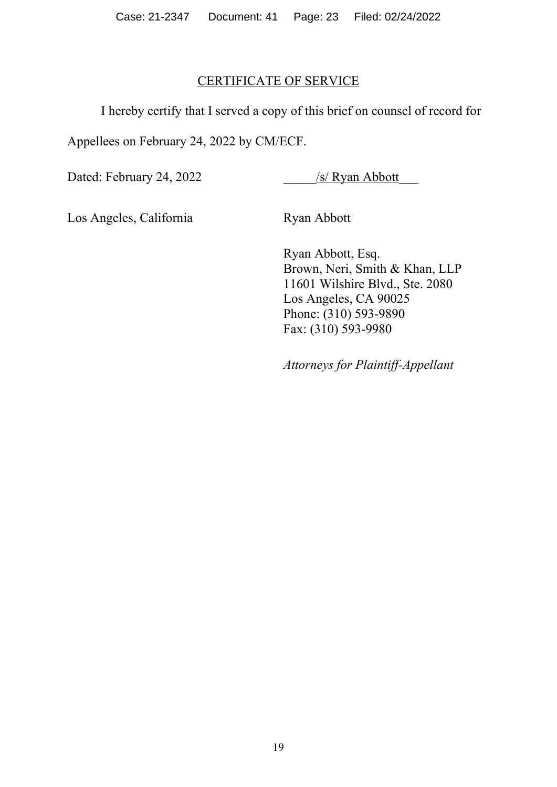Case: 21-2347 Document: 41 Page: 23 Filed: 02/24/2022

# CERTIFICATE OF SERVICE

I hereby certify that I served a copy of this brief on counsel of record for

Appellees on February 24, 2022 by CM/ECF.

Dated: February 24, 2022

/s/ Ryan Abbott

Los Angeles, California

Ryan Abbott

Ryan Abbott, Esq. Brown, Neri, Smith & Khan, LLP 11601 Wilshire Blvd., Ste. 2080 Los Angeles, CA 90025 Phone: (310) 593-9890 Fax: (310) 593-9980

*Attorneys for Plaintiff-Appellant*